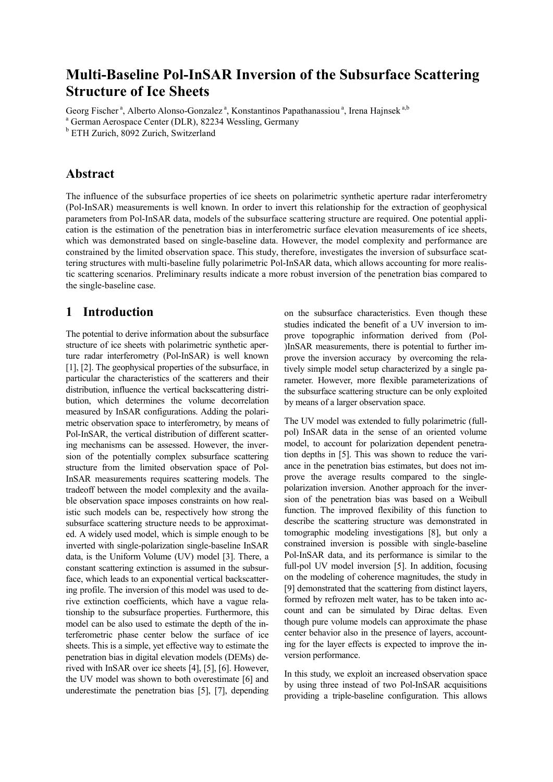# Multi-Baseline Pol-InSAR Inversion of the Subsurface Scattering Structure of Ice Sheets

Georg Fischer<sup>a</sup>, Alberto Alonso-Gonzalez<sup>a</sup>, Konstantinos Papathanassiou<sup>a</sup>, Irena Hajnsek<sup>a,b</sup>

<sup>a</sup> German Aerospace Center (DLR), 82234 Wessling, Germany

<sup>b</sup> ETH Zurich, 8092 Zurich, Switzerland

## Abstract

The influence of the subsurface properties of ice sheets on polarimetric synthetic aperture radar interferometry (Pol-InSAR) measurements is well known. In order to invert this relationship for the extraction of geophysical parameters from Pol-InSAR data, models of the subsurface scattering structure are required. One potential application is the estimation of the penetration bias in interferometric surface elevation measurements of ice sheets, which was demonstrated based on single-baseline data. However, the model complexity and performance are constrained by the limited observation space. This study, therefore, investigates the inversion of subsurface scattering structures with multi-baseline fully polarimetric Pol-InSAR data, which allows accounting for more realistic scattering scenarios. Preliminary results indicate a more robust inversion of the penetration bias compared to the single-baseline case.

# 1 Introduction

The potential to derive information about the subsurface structure of ice sheets with polarimetric synthetic aperture radar interferometry (Pol-InSAR) is well known [1], [2]. The geophysical properties of the subsurface, in particular the characteristics of the scatterers and their distribution, influence the vertical backscattering distribution, which determines the volume decorrelation measured by InSAR configurations. Adding the polarimetric observation space to interferometry, by means of Pol-InSAR, the vertical distribution of different scattering mechanisms can be assessed. However, the inversion of the potentially complex subsurface scattering structure from the limited observation space of Pol-InSAR measurements requires scattering models. The tradeoff between the model complexity and the available observation space imposes constraints on how realistic such models can be, respectively how strong the subsurface scattering structure needs to be approximated. A widely used model, which is simple enough to be inverted with single-polarization single-baseline InSAR data, is the Uniform Volume (UV) model [3]. There, a constant scattering extinction is assumed in the subsurface, which leads to an exponential vertical backscattering profile. The inversion of this model was used to derive extinction coefficients, which have a vague relationship to the subsurface properties. Furthermore, this model can be also used to estimate the depth of the interferometric phase center below the surface of ice sheets. This is a simple, yet effective way to estimate the penetration bias in digital elevation models (DEMs) derived with InSAR over ice sheets [4], [5], [6]. However, the UV model was shown to both overestimate [6] and underestimate the penetration bias [5], [7], depending

on the subsurface characteristics. Even though these studies indicated the benefit of a UV inversion to improve topographic information derived from (Pol- )InSAR measurements, there is potential to further improve the inversion accuracy by overcoming the relatively simple model setup characterized by a single parameter. However, more flexible parameterizations of the subsurface scattering structure can be only exploited by means of a larger observation space.

The UV model was extended to fully polarimetric (fullpol) InSAR data in the sense of an oriented volume model, to account for polarization dependent penetration depths in [5]. This was shown to reduce the variance in the penetration bias estimates, but does not improve the average results compared to the singlepolarization inversion. Another approach for the inversion of the penetration bias was based on a Weibull function. The improved flexibility of this function to describe the scattering structure was demonstrated in tomographic modeling investigations [8], but only a constrained inversion is possible with single-baseline Pol-InSAR data, and its performance is similar to the full-pol UV model inversion [5]. In addition, focusing on the modeling of coherence magnitudes, the study in [9] demonstrated that the scattering from distinct layers, formed by refrozen melt water, has to be taken into account and can be simulated by Dirac deltas. Even though pure volume models can approximate the phase center behavior also in the presence of layers, accounting for the layer effects is expected to improve the inversion performance.

In this study, we exploit an increased observation space by using three instead of two Pol-InSAR acquisitions providing a triple-baseline configuration. This allows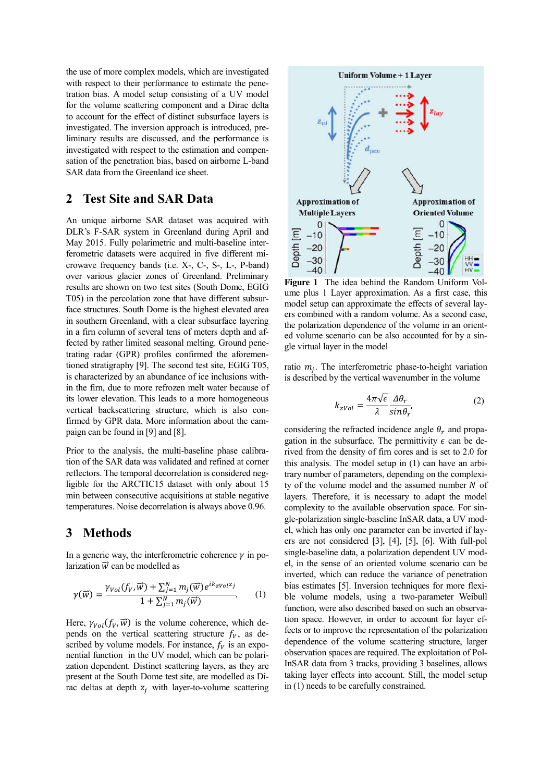the use of more complex models, which are investigated with respect to their performance to estimate the penetration bias. A model setup consisting of a UV model for the volume scattering component and a Dirac delta to account for the effect of distinct subsurface layers is investigated. The inversion approach is introduced, preliminary results are discussed, and the performance is investigated with respect to the estimation and compensation of the penetration bias, based on airborne L-band SAR data from the Greenland ice sheet.

### 2 Test Site and SAR Data

An unique airborne SAR dataset was acquired with DLR's F-SAR system in Greenland during April and May 2015. Fully polarimetric and multi-baseline interferometric datasets were acquired in five different microwave frequency bands (i.e. X-, C-, S-, L-, P-band) over various glacier zones of Greenland. Preliminary results are shown on two test sites (South Dome, EGIG T05) in the percolation zone that have different subsurface structures. South Dome is the highest elevated area in southern Greenland, with a clear subsurface layering in a firn column of several tens of meters depth and affected by rather limited seasonal melting. Ground penetrating radar (GPR) profiles confirmed the aforementioned stratigraphy [9]. The second test site, EGIG T05, is characterized by an abundance of ice inclusions within the firn, due to more refrozen melt water because of its lower elevation. This leads to a more homogeneous vertical backscattering structure, which is also confirmed by GPR data. More information about the campaign can be found in [9] and [8].

Prior to the analysis, the multi-baseline phase calibration of the SAR data was validated and refined at corner reflectors. The temporal decorrelation is considered negligible for the ARCTIC15 dataset with only about 15 min between consecutive acquisitions at stable negative temperatures. Noise decorrelation is always above 0.96.

## 3 Methods

In a generic way, the interferometric coherence  $\nu$  in polarization  $\vec{w}$  can be modelled as

$$
\gamma(\vec{w}) = \frac{\gamma_{Vol}(f_V, \vec{w}) + \sum_{j=1}^{N} m_j(\vec{w})e^{ik_Z V_0 l^Z j}}{1 + \sum_{j=1}^{N} m_j(\vec{w})}.
$$
 (1)

Here,  $\gamma_{Vol}(f_V, \vec{w})$  is the volume coherence, which depends on the vertical scattering structure  $f_V$ , as described by volume models. For instance,  $f_V$  is an exponential function in the UV model, which can be polarization dependent. Distinct scattering layers, as they are present at the South Dome test site, are modelled as Dirac deltas at depth  $z_i$  with layer-to-volume scattering



Figure 1 The idea behind the Random Uniform Volume plus 1 Layer approximation. As a first case, this model setup can approximate the effects of several layers combined with a random volume. As a second case, the polarization dependence of the volume in an oriented volume scenario can be also accounted for by a single virtual layer in the model

ratio  $m_i$ . The interferometric phase-to-height variation is described by the vertical wavenumber in the volume

$$
k_{zVol} = \frac{4\pi\sqrt{\epsilon}}{\lambda} \frac{\Delta\theta_r}{\sin\theta_r},
$$
 (2)

considering the refracted incidence angle  $\theta_r$  and propagation in the subsurface. The permittivity  $\epsilon$  can be derived from the density of firn cores and is set to 2.0 for this analysis. The model setup in (1) can have an arbitrary number of parameters, depending on the complexity of the volume model and the assumed number  $N$  of layers. Therefore, it is necessary to adapt the model complexity to the available observation space. For single-polarization single-baseline InSAR data, a UV model, which has only one parameter can be inverted if layers are not considered [3], [4], [5], [6]. With full-pol single-baseline data, a polarization dependent UV model, in the sense of an oriented volume scenario can be inverted, which can reduce the variance of penetration bias estimates [5]. Inversion techniques for more flexible volume models, using a two-parameter Weibull function, were also described based on such an observation space. However, in order to account for layer effects or to improve the representation of the polarization dependence of the volume scattering structure, larger observation spaces are required. The exploitation of Pol-InSAR data from 3 tracks, providing 3 baselines, allows taking layer effects into account. Still, the model setup in (1) needs to be carefully constrained.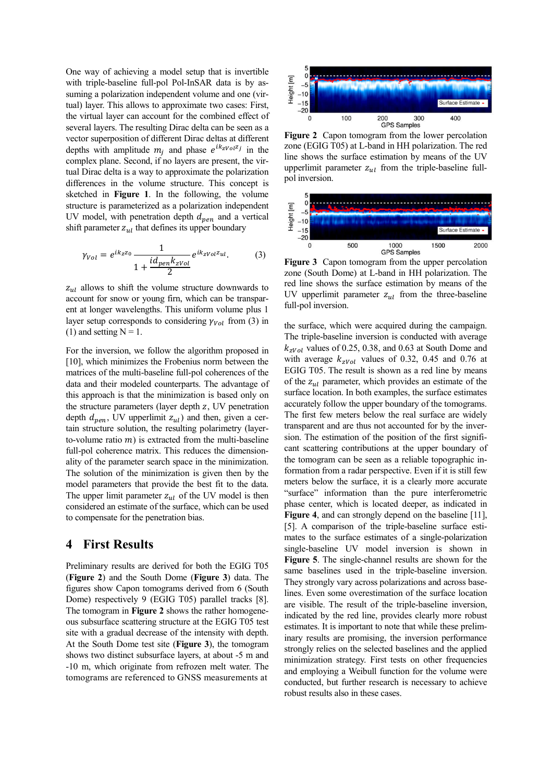One way of achieving a model setup that is invertible with triple-baseline full-pol Pol-InSAR data is by assuming a polarization independent volume and one (virtual) layer. This allows to approximate two cases: First, the virtual layer can account for the combined effect of several layers. The resulting Dirac delta can be seen as a vector superposition of different Dirac deltas at different depths with amplitude  $m_i$  and phase  $e^{ik_z v_0}$  in the complex plane. Second, if no layers are present, the virtual Dirac delta is a way to approximate the polarization differences in the volume structure. This concept is sketched in Figure 1. In the following, the volume structure is parameterized as a polarization independent UV model, with penetration depth  $d_{pen}$  and a vertical shift parameter  $z_{ul}$  that defines its upper boundary

$$
\gamma_{Vol} = e^{ik_z z_0} \frac{1}{1 + \frac{id_{pen}k_{zVol}}{2}} e^{ik_z v_{ol} z_{ul}}.
$$
 (3)

 $z_{ul}$  allows to shift the volume structure downwards to account for snow or young firn, which can be transparent at longer wavelengths. This uniform volume plus 1 layer setup corresponds to considering  $\gamma_{Vol}$  from (3) in (1) and setting  $N = 1$ .

For the inversion, we follow the algorithm proposed in [10], which minimizes the Frobenius norm between the matrices of the multi-baseline full-pol coherences of the data and their modeled counterparts. The advantage of this approach is that the minimization is based only on the structure parameters (layer depth  $z$ , UV penetration depth  $d_{pen}$ , UV upperlimit  $z_{ul}$ ) and then, given a certain structure solution, the resulting polarimetry (layerto-volume ratio  $m$ ) is extracted from the multi-baseline full-pol coherence matrix. This reduces the dimensionality of the parameter search space in the minimization. The solution of the minimization is given then by the model parameters that provide the best fit to the data. The upper limit parameter  $z_{ul}$  of the UV model is then considered an estimate of the surface, which can be used to compensate for the penetration bias.

#### 4 First Results

Preliminary results are derived for both the EGIG T05 (Figure 2) and the South Dome (Figure 3) data. The figures show Capon tomograms derived from 6 (South Dome) respectively 9 (EGIG T05) parallel tracks [8]. The tomogram in **Figure 2** shows the rather homogeneous subsurface scattering structure at the EGIG T05 test site with a gradual decrease of the intensity with depth. At the South Dome test site (Figure 3), the tomogram shows two distinct subsurface layers, at about -5 m and -10 m, which originate from refrozen melt water. The tomograms are referenced to GNSS measurements at



Figure 2 Capon tomogram from the lower percolation zone (EGIG T05) at L-band in HH polarization. The red line shows the surface estimation by means of the UV upperlimit parameter  $z_{ul}$  from the triple-baseline fullpol inversion.



Figure 3 Capon tomogram from the upper percolation zone (South Dome) at L-band in HH polarization. The red line shows the surface estimation by means of the UV upperlimit parameter  $z_{ul}$  from the three-baseline full-pol inversion.

the surface, which were acquired during the campaign. The triple-baseline inversion is conducted with average  $k_{zVol}$  values of 0.25, 0.38, and 0.63 at South Dome and with average  $k_{zVol}$  values of 0.32, 0.45 and 0.76 at EGIG T05. The result is shown as a red line by means of the  $z_{nl}$  parameter, which provides an estimate of the surface location. In both examples, the surface estimates accurately follow the upper boundary of the tomograms. The first few meters below the real surface are widely transparent and are thus not accounted for by the inversion. The estimation of the position of the first significant scattering contributions at the upper boundary of the tomogram can be seen as a reliable topographic information from a radar perspective. Even if it is still few meters below the surface, it is a clearly more accurate "surface" information than the pure interferometric phase center, which is located deeper, as indicated in Figure 4, and can strongly depend on the baseline [11], [5]. A comparison of the triple-baseline surface estimates to the surface estimates of a single-polarization single-baseline UV model inversion is shown in Figure 5. The single-channel results are shown for the same baselines used in the triple-baseline inversion. They strongly vary across polarizations and across baselines. Even some overestimation of the surface location are visible. The result of the triple-baseline inversion, indicated by the red line, provides clearly more robust estimates. It is important to note that while these preliminary results are promising, the inversion performance strongly relies on the selected baselines and the applied minimization strategy. First tests on other frequencies and employing a Weibull function for the volume were conducted, but further research is necessary to achieve robust results also in these cases.